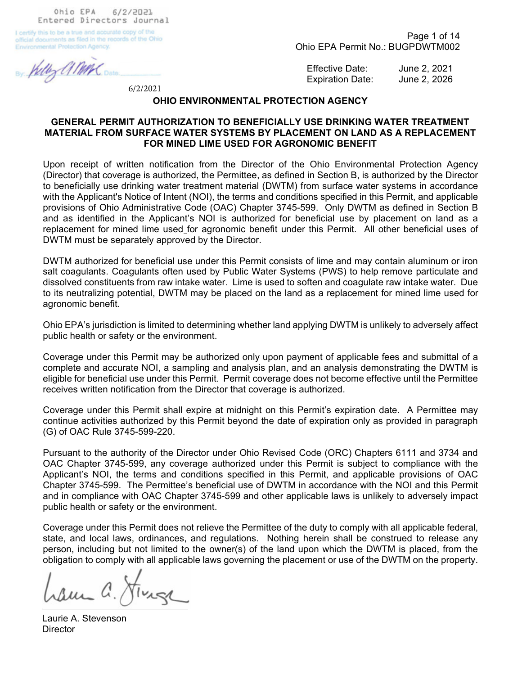Ohio EPA 6/2/2021 Entered Directors Journal

I certify this to be a true and accurate copy of the official documents as filed in the records of the Ohio **Environmental Protection Agency.** 

My AMM

6/2/2021

Page 1 of 14 Ohio EPA Permit No.: BUGPDWTM002

Effective Date: June 2, 2021 Expiration Date: June 2, 2026

#### OHIO ENVIRONMENTAL PROTECTION AGENCY

### GENERAL PERMIT AUTHORIZATION TO BENEFICIALLY USE DRINKING WATER TREATMENT MATERIAL FROM SURFACE WATER SYSTEMS BY PLACEMENT ON LAND AS A REPLACEMENT FOR MINED LIME USED FOR AGRONOMIC BENEFIT

Upon receipt of written notification from the Director of the Ohio Environmental Protection Agency (Director) that coverage is authorized, the Permittee, as defined in Section B, is authorized by the Director to beneficially use drinking water treatment material (DWTM) from surface water systems in accordance with the Applicant's Notice of Intent (NOI), the terms and conditions specified in this Permit, and applicable provisions of Ohio Administrative Code (OAC) Chapter 3745-599. Only DWTM as defined in Section B and as identified in the Applicant's NOI is authorized for beneficial use by placement on land as a replacement for mined lime used for agronomic benefit under this Permit. All other beneficial uses of DWTM must be separately approved by the Director.

DWTM authorized for beneficial use under this Permit consists of lime and may contain aluminum or iron salt coagulants. Coagulants often used by Public Water Systems (PWS) to help remove particulate and dissolved constituents from raw intake water. Lime is used to soften and coagulate raw intake water. Due to its neutralizing potential, DWTM may be placed on the land as a replacement for mined lime used for agronomic benefit.

Ohio EPA's jurisdiction is limited to determining whether land applying DWTM is unlikely to adversely affect public health or safety or the environment.

Coverage under this Permit may be authorized only upon payment of applicable fees and submittal of a complete and accurate NOI, a sampling and analysis plan, and an analysis demonstrating the DWTM is eligible for beneficial use under this Permit. Permit coverage does not become effective until the Permittee receives written notification from the Director that coverage is authorized.

Coverage under this Permit shall expire at midnight on this Permit's expiration date. A Permittee may continue activities authorized by this Permit beyond the date of expiration only as provided in paragraph (G) of OAC Rule 3745-599-220.

Pursuant to the authority of the Director under Ohio Revised Code (ORC) Chapters 6111 and 3734 and OAC Chapter 3745-599, any coverage authorized under this Permit is subject to compliance with the Applicant's NOI, the terms and conditions specified in this Permit, and applicable provisions of OAC Chapter 3745-599. The Permittee's beneficial use of DWTM in accordance with the NOI and this Permit and in compliance with OAC Chapter 3745-599 and other applicable laws is unlikely to adversely impact public health or safety or the environment.

Coverage under this Permit does not relieve the Permittee of the duty to comply with all applicable federal, state, and local laws, ordinances, and regulations. Nothing herein shall be construed to release any person, including but not limited to the owner(s) of the land upon which the DWTM is placed, from the obligation to comply with all applicable laws governing the placement or use of the DWTM on the property.

am a. Junge

Laurie A. Stevenson **Director**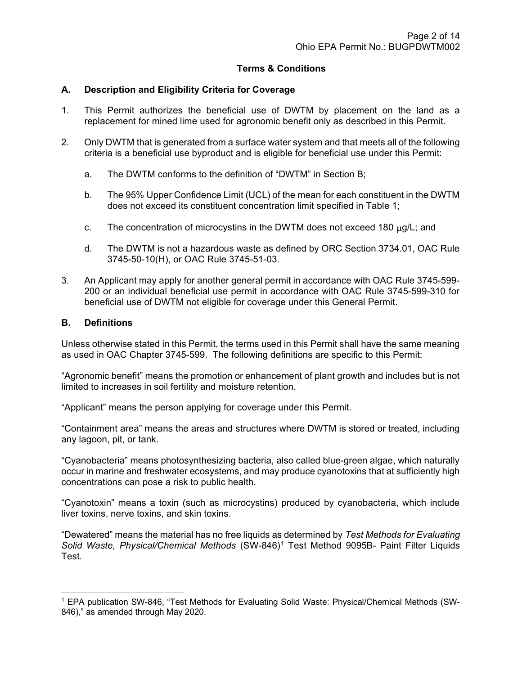## Terms & Conditions

## A. Description and Eligibility Criteria for Coverage

- 1. This Permit authorizes the beneficial use of DWTM by placement on the land as a replacement for mined lime used for agronomic benefit only as described in this Permit.
- 2. Only DWTM that is generated from a surface water system and that meets all of the following criteria is a beneficial use byproduct and is eligible for beneficial use under this Permit:
	- a. The DWTM conforms to the definition of "DWTM" in Section B;
	- b. The 95% Upper Confidence Limit (UCL) of the mean for each constituent in the DWTM does not exceed its constituent concentration limit specified in Table 1;
	- c. The concentration of microcystins in the DWTM does not exceed 180  $\mu$ g/L; and
	- d. The DWTM is not a hazardous waste as defined by ORC Section 3734.01, OAC Rule 3745-50-10(H), or OAC Rule 3745-51-03.
- 3. An Applicant may apply for another general permit in accordance with OAC Rule 3745-599- 200 or an individual beneficial use permit in accordance with OAC Rule 3745-599-310 for beneficial use of DWTM not eligible for coverage under this General Permit.

### B. Definitions

Unless otherwise stated in this Permit, the terms used in this Permit shall have the same meaning as used in OAC Chapter 3745-599. The following definitions are specific to this Permit:

"Agronomic benefit" means the promotion or enhancement of plant growth and includes but is not limited to increases in soil fertility and moisture retention.

"Applicant" means the person applying for coverage under this Permit.

"Containment area" means the areas and structures where DWTM is stored or treated, including any lagoon, pit, or tank.

"Cyanobacteria" means photosynthesizing bacteria, also called blue-green algae, which naturally occur in marine and freshwater ecosystems, and may produce cyanotoxins that at sufficiently high concentrations can pose a risk to public health.

"Cyanotoxin" means a toxin (such as microcystins) produced by cyanobacteria, which include liver toxins, nerve toxins, and skin toxins.

"Dewatered" means the material has no free liquids as determined by Test Methods for Evaluating Solid Waste, Physical/Chemical Methods (SW-846)<sup>1</sup> Test Method 9095B- Paint Filter Liquids Test.

<sup>&</sup>lt;sup>1</sup> EPA publication SW-846, "Test Methods for Evaluating Solid Waste: Physical/Chemical Methods (SW-846)," as amended through May 2020.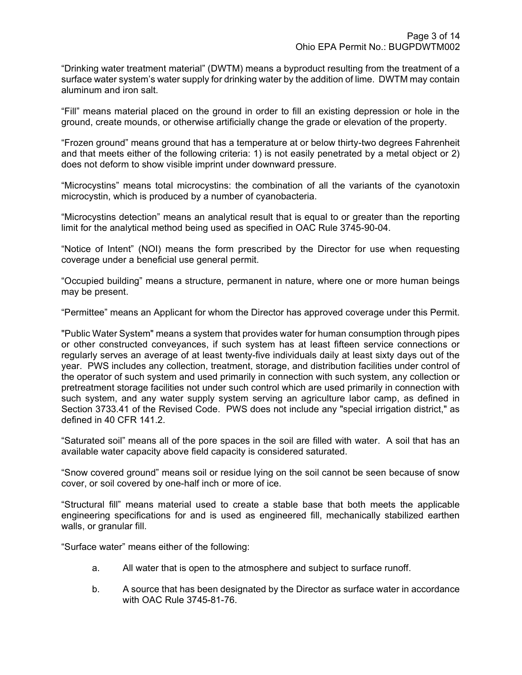"Drinking water treatment material" (DWTM) means a byproduct resulting from the treatment of a surface water system's water supply for drinking water by the addition of lime. DWTM may contain aluminum and iron salt.

"Fill" means material placed on the ground in order to fill an existing depression or hole in the ground, create mounds, or otherwise artificially change the grade or elevation of the property.

"Frozen ground" means ground that has a temperature at or below thirty-two degrees Fahrenheit and that meets either of the following criteria: 1) is not easily penetrated by a metal object or 2) does not deform to show visible imprint under downward pressure.

"Microcystins" means total microcystins: the combination of all the variants of the cyanotoxin microcystin, which is produced by a number of cyanobacteria.

"Microcystins detection" means an analytical result that is equal to or greater than the reporting limit for the analytical method being used as specified in OAC Rule 3745-90-04.

"Notice of Intent" (NOI) means the form prescribed by the Director for use when requesting coverage under a beneficial use general permit.

"Occupied building" means a structure, permanent in nature, where one or more human beings may be present.

"Permittee" means an Applicant for whom the Director has approved coverage under this Permit.

"Public Water System" means a system that provides water for human consumption through pipes or other constructed conveyances, if such system has at least fifteen service connections or regularly serves an average of at least twenty-five individuals daily at least sixty days out of the year. PWS includes any collection, treatment, storage, and distribution facilities under control of the operator of such system and used primarily in connection with such system, any collection or pretreatment storage facilities not under such control which are used primarily in connection with such system, and any water supply system serving an agriculture labor camp, as defined in Section 3733.41 of the Revised Code. PWS does not include any "special irrigation district," as defined in 40 CFR 141.2.

"Saturated soil" means all of the pore spaces in the soil are filled with water. A soil that has an available water capacity above field capacity is considered saturated.

"Snow covered ground" means soil or residue lying on the soil cannot be seen because of snow cover, or soil covered by one-half inch or more of ice.

"Structural fill" means material used to create a stable base that both meets the applicable engineering specifications for and is used as engineered fill, mechanically stabilized earthen walls, or granular fill.

"Surface water" means either of the following:

- a. All water that is open to the atmosphere and subject to surface runoff.
- b. A source that has been designated by the Director as surface water in accordance with OAC Rule 3745-81-76.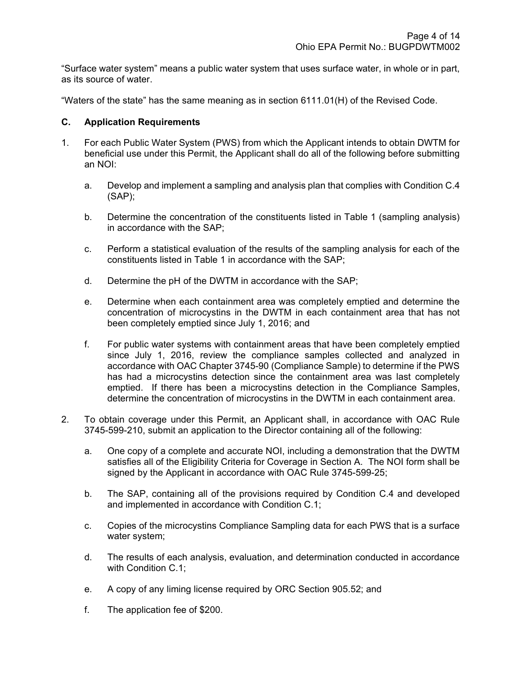"Surface water system" means a public water system that uses surface water, in whole or in part, as its source of water.

"Waters of the state" has the same meaning as in section 6111.01(H) of the Revised Code.

### C. Application Requirements

- 1. For each Public Water System (PWS) from which the Applicant intends to obtain DWTM for beneficial use under this Permit, the Applicant shall do all of the following before submitting an NOI:
	- a. Develop and implement a sampling and analysis plan that complies with Condition C.4 (SAP);
	- b. Determine the concentration of the constituents listed in Table 1 (sampling analysis) in accordance with the SAP;
	- c. Perform a statistical evaluation of the results of the sampling analysis for each of the constituents listed in Table 1 in accordance with the SAP;
	- d. Determine the pH of the DWTM in accordance with the SAP;
	- e. Determine when each containment area was completely emptied and determine the concentration of microcystins in the DWTM in each containment area that has not been completely emptied since July 1, 2016; and
	- f. For public water systems with containment areas that have been completely emptied since July 1, 2016, review the compliance samples collected and analyzed in accordance with OAC Chapter 3745-90 (Compliance Sample) to determine if the PWS has had a microcystins detection since the containment area was last completely emptied. If there has been a microcystins detection in the Compliance Samples, determine the concentration of microcystins in the DWTM in each containment area.
- 2. To obtain coverage under this Permit, an Applicant shall, in accordance with OAC Rule 3745-599-210, submit an application to the Director containing all of the following:
	- a. One copy of a complete and accurate NOI, including a demonstration that the DWTM satisfies all of the Eligibility Criteria for Coverage in Section A. The NOI form shall be signed by the Applicant in accordance with OAC Rule 3745-599-25;
	- b. The SAP, containing all of the provisions required by Condition C.4 and developed and implemented in accordance with Condition C.1;
	- c. Copies of the microcystins Compliance Sampling data for each PWS that is a surface water system;
	- d. The results of each analysis, evaluation, and determination conducted in accordance with Condition C.1:
	- e. A copy of any liming license required by ORC Section 905.52; and
	- f. The application fee of \$200.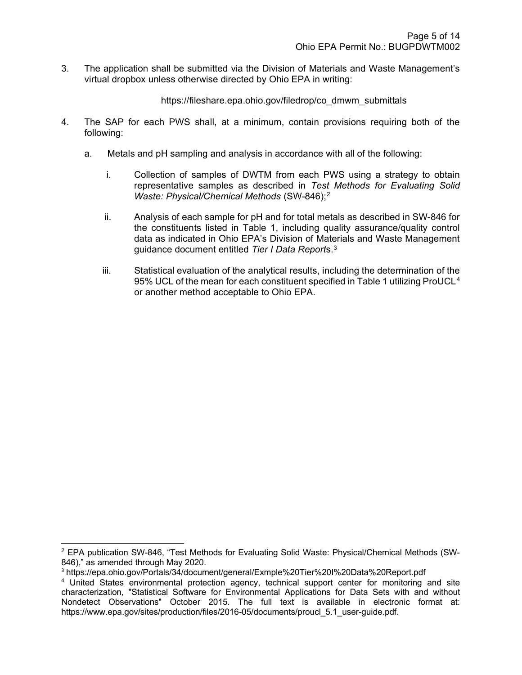3. The application shall be submitted via the Division of Materials and Waste Management's virtual dropbox unless otherwise directed by Ohio EPA in writing:

https://fileshare.epa.ohio.gov/filedrop/co\_dmwm\_submittals

- 4. The SAP for each PWS shall, at a minimum, contain provisions requiring both of the following:
	- a. Metals and pH sampling and analysis in accordance with all of the following:
		- i. Collection of samples of DWTM from each PWS using a strategy to obtain representative samples as described in Test Methods for Evaluating Solid Waste: Physical/Chemical Methods (SW-846);<sup>2</sup>
		- ii. Analysis of each sample for pH and for total metals as described in SW-846 for the constituents listed in Table 1, including quality assurance/quality control data as indicated in Ohio EPA's Division of Materials and Waste Management guidance document entitled Tier I Data Reports.<sup>3</sup>
		- iii. Statistical evaluation of the analytical results, including the determination of the 95% UCL of the mean for each constituent specified in Table 1 utilizing ProUCL<sup>4</sup> or another method acceptable to Ohio EPA.

 $^2$  EPA publication SW-846, "Test Methods for Evaluating Solid Waste: Physical/Chemical Methods (SW-846)," as amended through May 2020.

<sup>3</sup> https://epa.ohio.gov/Portals/34/document/general/Exmple%20Tier%20I%20Data%20Report.pdf

<sup>&</sup>lt;sup>4</sup> United States environmental protection agency, technical support center for monitoring and site characterization, "Statistical Software for Environmental Applications for Data Sets with and without Nondetect Observations" October 2015. The full text is available in electronic format at: https://www.epa.gov/sites/production/files/2016-05/documents/proucl\_5.1\_user-guide.pdf.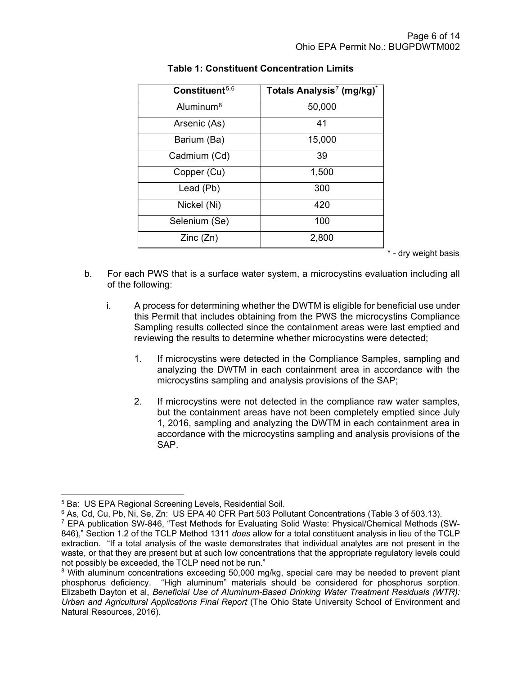| Constituent <sup>5,6</sup> | Totals Analysis <sup>7</sup> (mg/kg)* |
|----------------------------|---------------------------------------|
| Aluminum <sup>8</sup>      | 50,000                                |
| Arsenic (As)               | 41                                    |
| Barium (Ba)                | 15,000                                |
| Cadmium (Cd)               | 39                                    |
| Copper (Cu)                | 1,500                                 |
| Lead (Pb)                  | 300                                   |
| Nickel (Ni)                | 420                                   |
| Selenium (Se)              | 100                                   |
| Zinc(Zn)                   | 2,800                                 |

# Table 1: Constituent Concentration Limits

\* - dry weight basis

- b. For each PWS that is a surface water system, a microcystins evaluation including all of the following:
	- i. A process for determining whether the DWTM is eligible for beneficial use under this Permit that includes obtaining from the PWS the microcystins Compliance Sampling results collected since the containment areas were last emptied and reviewing the results to determine whether microcystins were detected;
		- 1. If microcystins were detected in the Compliance Samples, sampling and analyzing the DWTM in each containment area in accordance with the microcystins sampling and analysis provisions of the SAP;
		- 2. If microcystins were not detected in the compliance raw water samples, but the containment areas have not been completely emptied since July 1, 2016, sampling and analyzing the DWTM in each containment area in accordance with the microcystins sampling and analysis provisions of the SAP.

<sup>5</sup> Ba: US EPA Regional Screening Levels, Residential Soil.

 $^6$  As, Cd, Cu, Pb, Ni, Se, Zn: US EPA 40 CFR Part 503 Pollutant Concentrations (Table 3 of 503.13).

<sup>&</sup>lt;sup>7</sup> EPA publication SW-846, "Test Methods for Evaluating Solid Waste: Physical/Chemical Methods (SW-846)," Section 1.2 of the TCLP Method 1311 does allow for a total constituent analysis in lieu of the TCLP extraction. "If a total analysis of the waste demonstrates that individual analytes are not present in the waste, or that they are present but at such low concentrations that the appropriate regulatory levels could not possibly be exceeded, the TCLP need not be run."

 $8$  With aluminum concentrations exceeding 50,000 mg/kg, special care may be needed to prevent plant phosphorus deficiency. "High aluminum" materials should be considered for phosphorus sorption. Elizabeth Dayton et al, Beneficial Use of Aluminum-Based Drinking Water Treatment Residuals (WTR): Urban and Agricultural Applications Final Report (The Ohio State University School of Environment and Natural Resources, 2016).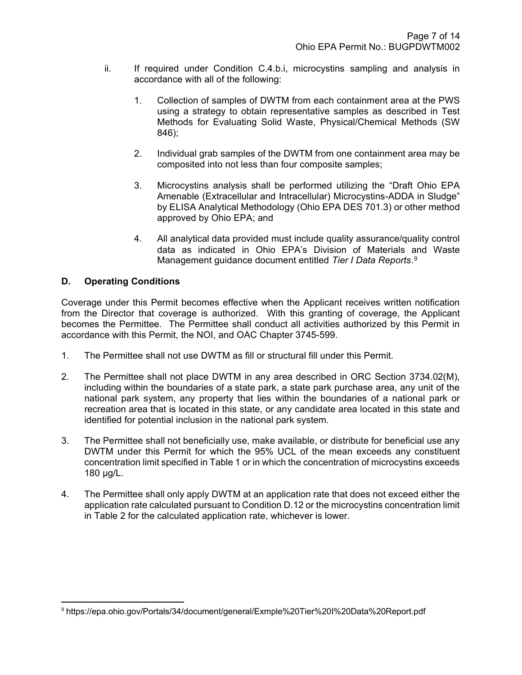- ii. If required under Condition C.4.b.i, microcystins sampling and analysis in accordance with all of the following:
	- 1. Collection of samples of DWTM from each containment area at the PWS using a strategy to obtain representative samples as described in Test Methods for Evaluating Solid Waste, Physical/Chemical Methods (SW 846);
	- 2. Individual grab samples of the DWTM from one containment area may be composited into not less than four composite samples;
	- 3. Microcystins analysis shall be performed utilizing the "Draft Ohio EPA Amenable (Extracellular and Intracellular) Microcystins-ADDA in Sludge" by ELISA Analytical Methodology (Ohio EPA DES 701.3) or other method approved by Ohio EPA; and
	- 4. All analytical data provided must include quality assurance/quality control data as indicated in Ohio EPA's Division of Materials and Waste Management guidance document entitled Tier I Data Reports.<sup>9</sup>

# D. Operating Conditions

Coverage under this Permit becomes effective when the Applicant receives written notification from the Director that coverage is authorized. With this granting of coverage, the Applicant becomes the Permittee. The Permittee shall conduct all activities authorized by this Permit in accordance with this Permit, the NOI, and OAC Chapter 3745-599.

- 1. The Permittee shall not use DWTM as fill or structural fill under this Permit.
- 2. The Permittee shall not place DWTM in any area described in ORC Section 3734.02(M), including within the boundaries of a state park, a state park purchase area, any unit of the national park system, any property that lies within the boundaries of a national park or recreation area that is located in this state, or any candidate area located in this state and identified for potential inclusion in the national park system.
- 3. The Permittee shall not beneficially use, make available, or distribute for beneficial use any DWTM under this Permit for which the 95% UCL of the mean exceeds any constituent concentration limit specified in Table 1 or in which the concentration of microcystins exceeds 180 µg/L.
- 4. The Permittee shall only apply DWTM at an application rate that does not exceed either the application rate calculated pursuant to Condition D.12 or the microcystins concentration limit in Table 2 for the calculated application rate, whichever is lower.

<sup>9</sup> https://epa.ohio.gov/Portals/34/document/general/Exmple%20Tier%20I%20Data%20Report.pdf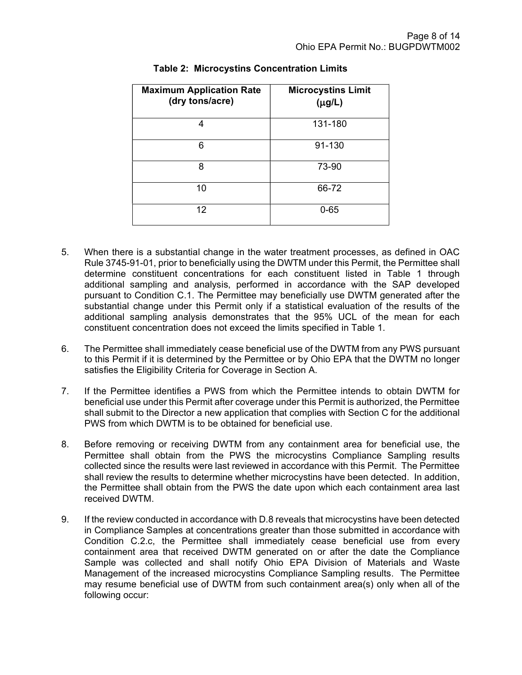| <b>Maximum Application Rate</b><br>(dry tons/acre) | <b>Microcystins Limit</b><br>$(\mu g/L)$ |
|----------------------------------------------------|------------------------------------------|
| 4                                                  | 131-180                                  |
| 6                                                  | 91-130                                   |
| 8                                                  | 73-90                                    |
| 10                                                 | 66-72                                    |
| 12                                                 | $0 - 65$                                 |

# Table 2: Microcystins Concentration Limits

- 5. When there is a substantial change in the water treatment processes, as defined in OAC Rule 3745-91-01, prior to beneficially using the DWTM under this Permit, the Permittee shall determine constituent concentrations for each constituent listed in Table 1 through additional sampling and analysis, performed in accordance with the SAP developed pursuant to Condition C.1. The Permittee may beneficially use DWTM generated after the substantial change under this Permit only if a statistical evaluation of the results of the additional sampling analysis demonstrates that the 95% UCL of the mean for each constituent concentration does not exceed the limits specified in Table 1.
- 6. The Permittee shall immediately cease beneficial use of the DWTM from any PWS pursuant to this Permit if it is determined by the Permittee or by Ohio EPA that the DWTM no longer satisfies the Eligibility Criteria for Coverage in Section A.
- 7. If the Permittee identifies a PWS from which the Permittee intends to obtain DWTM for beneficial use under this Permit after coverage under this Permit is authorized, the Permittee shall submit to the Director a new application that complies with Section C for the additional PWS from which DWTM is to be obtained for beneficial use.
- 8. Before removing or receiving DWTM from any containment area for beneficial use, the Permittee shall obtain from the PWS the microcystins Compliance Sampling results collected since the results were last reviewed in accordance with this Permit. The Permittee shall review the results to determine whether microcystins have been detected. In addition, the Permittee shall obtain from the PWS the date upon which each containment area last received DWTM.
- 9. If the review conducted in accordance with D.8 reveals that microcystins have been detected in Compliance Samples at concentrations greater than those submitted in accordance with Condition C.2.c, the Permittee shall immediately cease beneficial use from every containment area that received DWTM generated on or after the date the Compliance Sample was collected and shall notify Ohio EPA Division of Materials and Waste Management of the increased microcystins Compliance Sampling results. The Permittee may resume beneficial use of DWTM from such containment area(s) only when all of the following occur: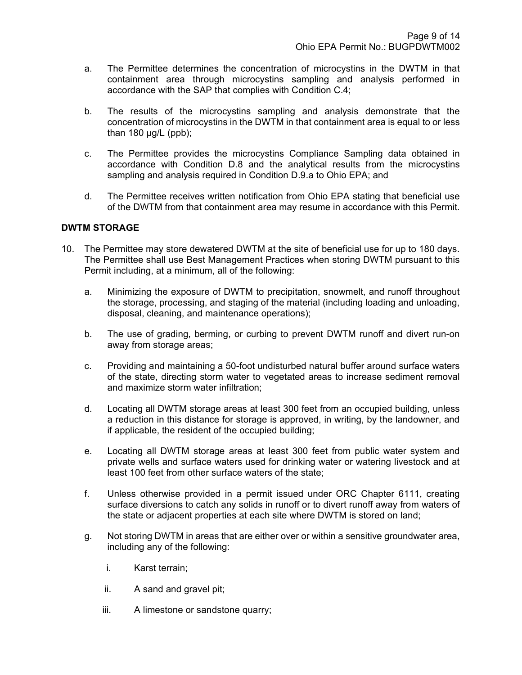- a. The Permittee determines the concentration of microcystins in the DWTM in that containment area through microcystins sampling and analysis performed in accordance with the SAP that complies with Condition C.4;
- b. The results of the microcystins sampling and analysis demonstrate that the concentration of microcystins in the DWTM in that containment area is equal to or less than  $180 \mu g/L$  (ppb);
- c. The Permittee provides the microcystins Compliance Sampling data obtained in accordance with Condition D.8 and the analytical results from the microcystins sampling and analysis required in Condition D.9.a to Ohio EPA; and
- d. The Permittee receives written notification from Ohio EPA stating that beneficial use of the DWTM from that containment area may resume in accordance with this Permit.

### DWTM STORAGE

- 10. The Permittee may store dewatered DWTM at the site of beneficial use for up to 180 days. The Permittee shall use Best Management Practices when storing DWTM pursuant to this Permit including, at a minimum, all of the following:
	- a. Minimizing the exposure of DWTM to precipitation, snowmelt, and runoff throughout the storage, processing, and staging of the material (including loading and unloading, disposal, cleaning, and maintenance operations);
	- b. The use of grading, berming, or curbing to prevent DWTM runoff and divert run-on away from storage areas;
	- c. Providing and maintaining a 50-foot undisturbed natural buffer around surface waters of the state, directing storm water to vegetated areas to increase sediment removal and maximize storm water infiltration;
	- d. Locating all DWTM storage areas at least 300 feet from an occupied building, unless a reduction in this distance for storage is approved, in writing, by the landowner, and if applicable, the resident of the occupied building;
	- e. Locating all DWTM storage areas at least 300 feet from public water system and private wells and surface waters used for drinking water or watering livestock and at least 100 feet from other surface waters of the state;
	- f. Unless otherwise provided in a permit issued under ORC Chapter 6111, creating surface diversions to catch any solids in runoff or to divert runoff away from waters of the state or adjacent properties at each site where DWTM is stored on land;
	- g. Not storing DWTM in areas that are either over or within a sensitive groundwater area, including any of the following:
		- i. Karst terrain;
		- ii. A sand and gravel pit;
		- iii. A limestone or sandstone quarry;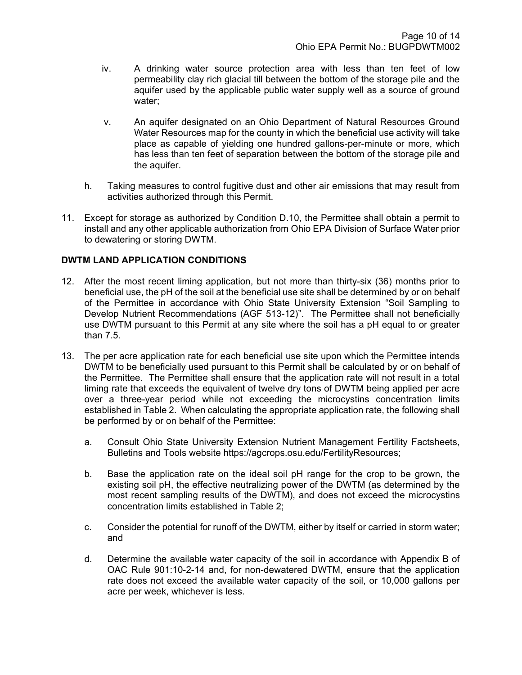- iv. A drinking water source protection area with less than ten feet of low permeability clay rich glacial till between the bottom of the storage pile and the aquifer used by the applicable public water supply well as a source of ground water;
- v. An aquifer designated on an Ohio Department of Natural Resources Ground Water Resources map for the county in which the beneficial use activity will take place as capable of yielding one hundred gallons-per-minute or more, which has less than ten feet of separation between the bottom of the storage pile and the aquifer.
- h. Taking measures to control fugitive dust and other air emissions that may result from activities authorized through this Permit.
- 11. Except for storage as authorized by Condition D.10, the Permittee shall obtain a permit to install and any other applicable authorization from Ohio EPA Division of Surface Water prior to dewatering or storing DWTM.

## DWTM LAND APPLICATION CONDITIONS

- 12. After the most recent liming application, but not more than thirty-six (36) months prior to beneficial use, the pH of the soil at the beneficial use site shall be determined by or on behalf of the Permittee in accordance with Ohio State University Extension "Soil Sampling to Develop Nutrient Recommendations (AGF 513-12)". The Permittee shall not beneficially use DWTM pursuant to this Permit at any site where the soil has a pH equal to or greater than 7.5.
- 13. The per acre application rate for each beneficial use site upon which the Permittee intends DWTM to be beneficially used pursuant to this Permit shall be calculated by or on behalf of the Permittee. The Permittee shall ensure that the application rate will not result in a total liming rate that exceeds the equivalent of twelve dry tons of DWTM being applied per acre over a three-year period while not exceeding the microcystins concentration limits established in Table 2. When calculating the appropriate application rate, the following shall be performed by or on behalf of the Permittee:
	- a. Consult Ohio State University Extension Nutrient Management Fertility Factsheets, Bulletins and Tools website https://agcrops.osu.edu/FertilityResources;
	- b. Base the application rate on the ideal soil pH range for the crop to be grown, the existing soil pH, the effective neutralizing power of the DWTM (as determined by the most recent sampling results of the DWTM), and does not exceed the microcystins concentration limits established in Table 2;
	- c. Consider the potential for runoff of the DWTM, either by itself or carried in storm water; and
	- d. Determine the available water capacity of the soil in accordance with Appendix B of OAC Rule 901:10-2-14 and, for non-dewatered DWTM, ensure that the application rate does not exceed the available water capacity of the soil, or 10,000 gallons per acre per week, whichever is less.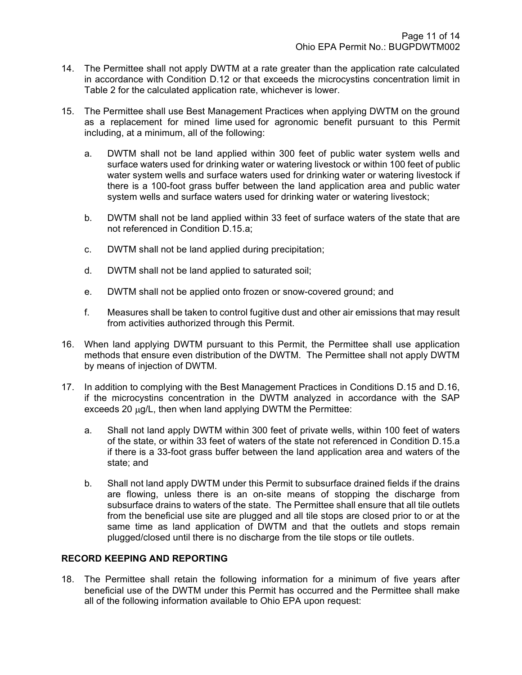- 14. The Permittee shall not apply DWTM at a rate greater than the application rate calculated in accordance with Condition D.12 or that exceeds the microcystins concentration limit in Table 2 for the calculated application rate, whichever is lower.
- 15. The Permittee shall use Best Management Practices when applying DWTM on the ground as a replacement for mined lime used for agronomic benefit pursuant to this Permit including, at a minimum, all of the following:
	- a. DWTM shall not be land applied within 300 feet of public water system wells and surface waters used for drinking water or watering livestock or within 100 feet of public water system wells and surface waters used for drinking water or watering livestock if there is a 100-foot grass buffer between the land application area and public water system wells and surface waters used for drinking water or watering livestock;
	- b. DWTM shall not be land applied within 33 feet of surface waters of the state that are not referenced in Condition D.15.a;
	- c. DWTM shall not be land applied during precipitation;
	- d. DWTM shall not be land applied to saturated soil;
	- e. DWTM shall not be applied onto frozen or snow-covered ground; and
	- f. Measures shall be taken to control fugitive dust and other air emissions that may result from activities authorized through this Permit.
- 16. When land applying DWTM pursuant to this Permit, the Permittee shall use application methods that ensure even distribution of the DWTM. The Permittee shall not apply DWTM by means of injection of DWTM.
- 17. In addition to complying with the Best Management Practices in Conditions D.15 and D.16, if the microcystins concentration in the DWTM analyzed in accordance with the SAP exceeds 20 ug/L, then when land applying DWTM the Permittee:
	- a. Shall not land apply DWTM within 300 feet of private wells, within 100 feet of waters of the state, or within 33 feet of waters of the state not referenced in Condition D.15.a if there is a 33-foot grass buffer between the land application area and waters of the state; and
	- b. Shall not land apply DWTM under this Permit to subsurface drained fields if the drains are flowing, unless there is an on-site means of stopping the discharge from subsurface drains to waters of the state. The Permittee shall ensure that all tile outlets from the beneficial use site are plugged and all tile stops are closed prior to or at the same time as land application of DWTM and that the outlets and stops remain plugged/closed until there is no discharge from the tile stops or tile outlets.

## RECORD KEEPING AND REPORTING

18. The Permittee shall retain the following information for a minimum of five years after beneficial use of the DWTM under this Permit has occurred and the Permittee shall make all of the following information available to Ohio EPA upon request: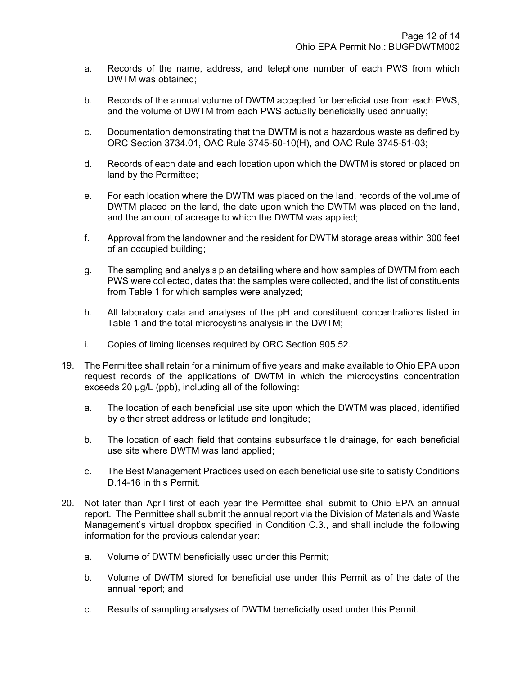- a. Records of the name, address, and telephone number of each PWS from which DWTM was obtained;
- b. Records of the annual volume of DWTM accepted for beneficial use from each PWS, and the volume of DWTM from each PWS actually beneficially used annually;
- c. Documentation demonstrating that the DWTM is not a hazardous waste as defined by ORC Section 3734.01, OAC Rule 3745-50-10(H), and OAC Rule 3745-51-03;
- d. Records of each date and each location upon which the DWTM is stored or placed on land by the Permittee;
- e. For each location where the DWTM was placed on the land, records of the volume of DWTM placed on the land, the date upon which the DWTM was placed on the land, and the amount of acreage to which the DWTM was applied;
- f. Approval from the landowner and the resident for DWTM storage areas within 300 feet of an occupied building;
- g. The sampling and analysis plan detailing where and how samples of DWTM from each PWS were collected, dates that the samples were collected, and the list of constituents from Table 1 for which samples were analyzed;
- h. All laboratory data and analyses of the pH and constituent concentrations listed in Table 1 and the total microcystins analysis in the DWTM;
- i. Copies of liming licenses required by ORC Section 905.52.
- 19. The Permittee shall retain for a minimum of five years and make available to Ohio EPA upon request records of the applications of DWTM in which the microcystins concentration exceeds 20 µg/L (ppb), including all of the following:
	- a. The location of each beneficial use site upon which the DWTM was placed, identified by either street address or latitude and longitude;
	- b. The location of each field that contains subsurface tile drainage, for each beneficial use site where DWTM was land applied;
	- c. The Best Management Practices used on each beneficial use site to satisfy Conditions D.14-16 in this Permit.
- 20. Not later than April first of each year the Permittee shall submit to Ohio EPA an annual report. The Permittee shall submit the annual report via the Division of Materials and Waste Management's virtual dropbox specified in Condition C.3., and shall include the following information for the previous calendar year:
	- a. Volume of DWTM beneficially used under this Permit;
	- b. Volume of DWTM stored for beneficial use under this Permit as of the date of the annual report; and
	- c. Results of sampling analyses of DWTM beneficially used under this Permit.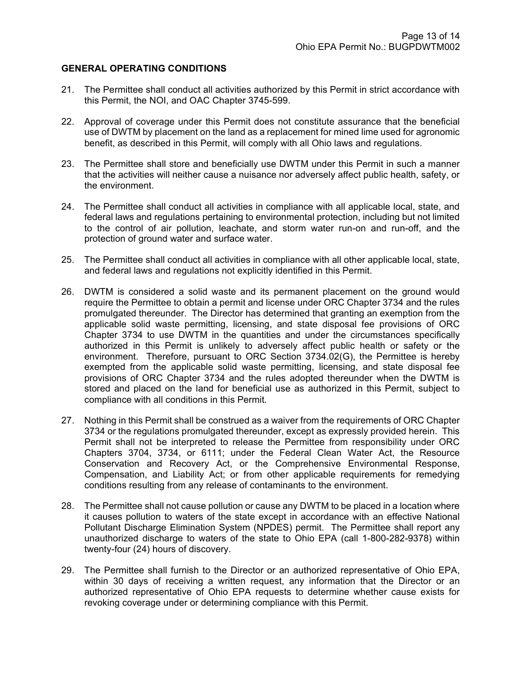### GENERAL OPERATING CONDITIONS

- 21. The Permittee shall conduct all activities authorized by this Permit in strict accordance with this Permit, the NOI, and OAC Chapter 3745-599.
- 22. Approval of coverage under this Permit does not constitute assurance that the beneficial use of DWTM by placement on the land as a replacement for mined lime used for agronomic benefit, as described in this Permit, will comply with all Ohio laws and regulations.
- 23. The Permittee shall store and beneficially use DWTM under this Permit in such a manner that the activities will neither cause a nuisance nor adversely affect public health, safety, or the environment.
- 24. The Permittee shall conduct all activities in compliance with all applicable local, state, and federal laws and regulations pertaining to environmental protection, including but not limited to the control of air pollution, leachate, and storm water run-on and run-off, and the protection of ground water and surface water.
- 25. The Permittee shall conduct all activities in compliance with all other applicable local, state, and federal laws and regulations not explicitly identified in this Permit.
- 26. DWTM is considered a solid waste and its permanent placement on the ground would require the Permittee to obtain a permit and license under ORC Chapter 3734 and the rules promulgated thereunder. The Director has determined that granting an exemption from the applicable solid waste permitting, licensing, and state disposal fee provisions of ORC Chapter 3734 to use DWTM in the quantities and under the circumstances specifically authorized in this Permit is unlikely to adversely affect public health or safety or the environment. Therefore, pursuant to ORC Section 3734.02(G), the Permittee is hereby exempted from the applicable solid waste permitting, licensing, and state disposal fee provisions of ORC Chapter 3734 and the rules adopted thereunder when the DWTM is stored and placed on the land for beneficial use as authorized in this Permit, subject to compliance with all conditions in this Permit.
- 27. Nothing in this Permit shall be construed as a waiver from the requirements of ORC Chapter 3734 or the regulations promulgated thereunder, except as expressly provided herein. This Permit shall not be interpreted to release the Permittee from responsibility under ORC Chapters 3704, 3734, or 6111; under the Federal Clean Water Act, the Resource Conservation and Recovery Act, or the Comprehensive Environmental Response, Compensation, and Liability Act; or from other applicable requirements for remedying conditions resulting from any release of contaminants to the environment.
- 28. The Permittee shall not cause pollution or cause any DWTM to be placed in a location where it causes pollution to waters of the state except in accordance with an effective National Pollutant Discharge Elimination System (NPDES) permit. The Permittee shall report any unauthorized discharge to waters of the state to Ohio EPA (call 1-800-282-9378) within twenty-four (24) hours of discovery.
- 29. The Permittee shall furnish to the Director or an authorized representative of Ohio EPA, within 30 days of receiving a written request, any information that the Director or an authorized representative of Ohio EPA requests to determine whether cause exists for revoking coverage under or determining compliance with this Permit.